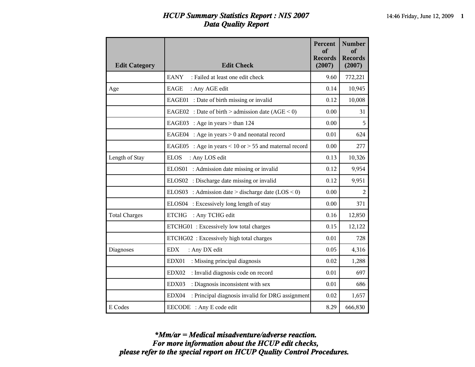## *HCUP Summary Statistics Report : NIS 2007* 14:46 Friday, June 12, 2009 **1** *Data Quality Report*

| <b>Edit Category</b> | <b>Edit Check</b>                                             | Percent<br>of<br><b>Records</b><br>(2007) | <b>Number</b><br>of<br><b>Records</b><br>(2007) |
|----------------------|---------------------------------------------------------------|-------------------------------------------|-------------------------------------------------|
|                      | <b>EANY</b><br>: Failed at least one edit check               | 9.60                                      | 772,221                                         |
| Age                  | <b>EAGE</b><br>: Any AGE edit                                 | 0.14                                      | 10,945                                          |
|                      | EAGE01 : Date of birth missing or invalid                     | 0.12                                      | 10,008                                          |
|                      | EAGE02 : Date of birth > admission date $(AGE < 0)$           | 0.00                                      | 31                                              |
|                      | EAGE03 : Age in years $>$ than 124                            | 0.00                                      | 5                                               |
|                      | EAGE04 : Age in years $> 0$ and neonatal record               | 0.01                                      | 624                                             |
|                      | EAGE05 : Age in years $\leq$ 10 or $>$ 55 and maternal record | 0.00                                      | 277                                             |
| Length of Stay       | <b>ELOS</b><br>: Any LOS edit                                 | 0.13                                      | 10,326                                          |
|                      | ELOS01 : Admission date missing or invalid                    | 0.12                                      | 9,954                                           |
|                      | ELOS02 : Discharge date missing or invalid                    | 0.12                                      | 9,951                                           |
|                      | ELOS03 : Admission date > discharge date $(LOS < 0)$          | 0.00                                      | $\overline{2}$                                  |
|                      | ELOS04 : Excessively long length of stay                      | 0.00                                      | 371                                             |
| <b>Total Charges</b> | <b>ETCHG</b><br>: Any TCHG edit                               | 0.16                                      | 12,850                                          |
|                      | ETCHG01: Excessively low total charges                        | 0.15                                      | 12,122                                          |
|                      | ETCHG02: Excessively high total charges                       | 0.01                                      | 728                                             |
| Diagnoses            | <b>EDX</b><br>: Any DX edit                                   | 0.05                                      | 4,316                                           |
|                      | EDX01<br>: Missing principal diagnosis                        | 0.02                                      | 1,288                                           |
|                      | EDX02<br>: Invalid diagnosis code on record                   | 0.01                                      | 697                                             |
|                      | EDX03<br>: Diagnosis inconsistent with sex                    | 0.01                                      | 686                                             |
|                      | EDX04<br>: Principal diagnosis invalid for DRG assignment     | 0.02                                      | 1,657                                           |
| E Codes              | EECODE : Any E code edit                                      | 8.29                                      | 666,830                                         |

*please refer to the special report on HCUP Quality Control Procedures. For more information about the HCUP edit checks, \*Mm/ar = Medical misadventure/adverse reaction.*